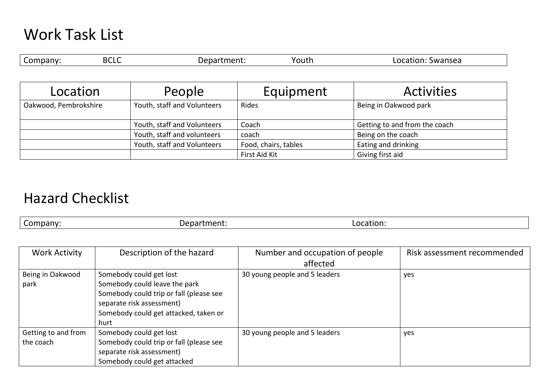## Work Task List

| -<br>٦r<br>- U | $\cdot$ ) $\prime$<br>. הי | ∽<br>routn | Swansea<br>n<br>17 M |
|----------------|----------------------------|------------|----------------------|
|                |                            |            |                      |

| Location              | People                      | Equipment            | <b>Activities</b>             |
|-----------------------|-----------------------------|----------------------|-------------------------------|
| Oakwood, Pembrokshire | Youth, staff and Volunteers | Rides                | Being in Oakwood park         |
|                       | Youth, staff and Volunteers | Coach                | Getting to and from the coach |
|                       | Youth, staff and volunteers | coach                | Being on the coach            |
|                       | Youth, staff and Volunteers | Food, chairs, tables | Eating and drinking           |
|                       |                             | First Aid Kit        | Giving first aid              |

## Hazard Checklist

Company: Department: Location: Location:

| <b>Work Activity</b> | Description of the hazard               | Number and occupation of people | Risk assessment recommended |
|----------------------|-----------------------------------------|---------------------------------|-----------------------------|
|                      |                                         | affected                        |                             |
| Being in Oakwood     | Somebody could get lost                 | 30 young people and 5 leaders   | yes                         |
| park                 | Somebody could leave the park           |                                 |                             |
|                      | Somebody could trip or fall (please see |                                 |                             |
|                      | separate risk assessment)               |                                 |                             |
|                      | Somebody could get attacked, taken or   |                                 |                             |
|                      | hurt                                    |                                 |                             |
| Getting to and from  | Somebody could get lost                 | 30 young people and 5 leaders   | yes                         |
| the coach            | Somebody could trip or fall (please see |                                 |                             |
|                      | separate risk assessment)               |                                 |                             |
|                      | Somebody could get attacked             |                                 |                             |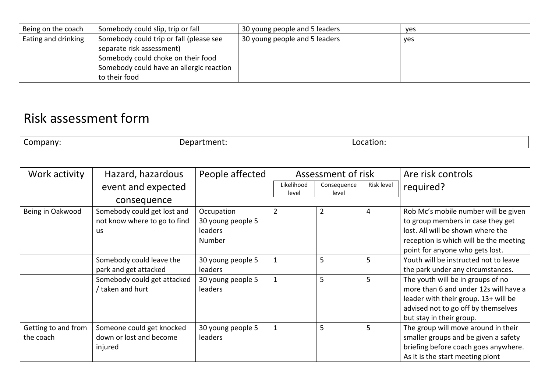| Being on the coach  | Somebody could slip, trip or fall        | 30 young people and 5 leaders | yes |
|---------------------|------------------------------------------|-------------------------------|-----|
| Eating and drinking | Somebody could trip or fall (please see  | 30 young people and 5 leaders | yes |
|                     | separate risk assessment)                |                               |     |
|                     | Somebody could choke on their food       |                               |     |
|                     | Somebody could have an allergic reaction |                               |     |
|                     | to their food                            |                               |     |

## Risk assessment form

|  | -<br>.omnany | וםנ | ration.<br>-oc |
|--|--------------|-----|----------------|
|--|--------------|-----|----------------|

| Work activity       | Hazard, hazardous            | People affected   | Assessment of risk  |                      |            | Are risk controls                      |
|---------------------|------------------------------|-------------------|---------------------|----------------------|------------|----------------------------------------|
|                     | event and expected           |                   | Likelihood<br>level | Consequence<br>level | Risk level | required?                              |
|                     | consequence                  |                   |                     |                      |            |                                        |
| Being in Oakwood    | Somebody could get lost and  | Occupation        | $\overline{2}$      | $\overline{2}$       | 4          | Rob Mc's mobile number will be given   |
|                     | not know where to go to find | 30 young people 5 |                     |                      |            | to group members in case they get      |
|                     | us                           | <b>leaders</b>    |                     |                      |            | lost. All will be shown where the      |
|                     |                              | Number            |                     |                      |            | reception is which will be the meeting |
|                     |                              |                   |                     |                      |            | point for anyone who gets lost.        |
|                     | Somebody could leave the     | 30 young people 5 | $\mathbf{1}$        | 5                    |            | Youth will be instructed not to leave  |
|                     | park and get attacked        | leaders           |                     |                      |            | the park under any circumstances.      |
|                     | Somebody could get attacked  | 30 young people 5 | $\mathbf{1}$        | 5                    | 5          | The youth will be in groups of no      |
|                     | / taken and hurt             | <b>leaders</b>    |                     |                      |            | more than 6 and under 12s will have a  |
|                     |                              |                   |                     |                      |            | leader with their group. 13+ will be   |
|                     |                              |                   |                     |                      |            | advised not to go off by themselves    |
|                     |                              |                   |                     |                      |            | but stay in their group.               |
| Getting to and from | Someone could get knocked    | 30 young people 5 | $\mathbf{1}$        | 5                    | 5          | The group will move around in their    |
| the coach           | down or lost and become      | leaders           |                     |                      |            | smaller groups and be given a safety   |
|                     | injured                      |                   |                     |                      |            | briefing before coach goes anywhere.   |
|                     |                              |                   |                     |                      |            | As it is the start meeting piont       |